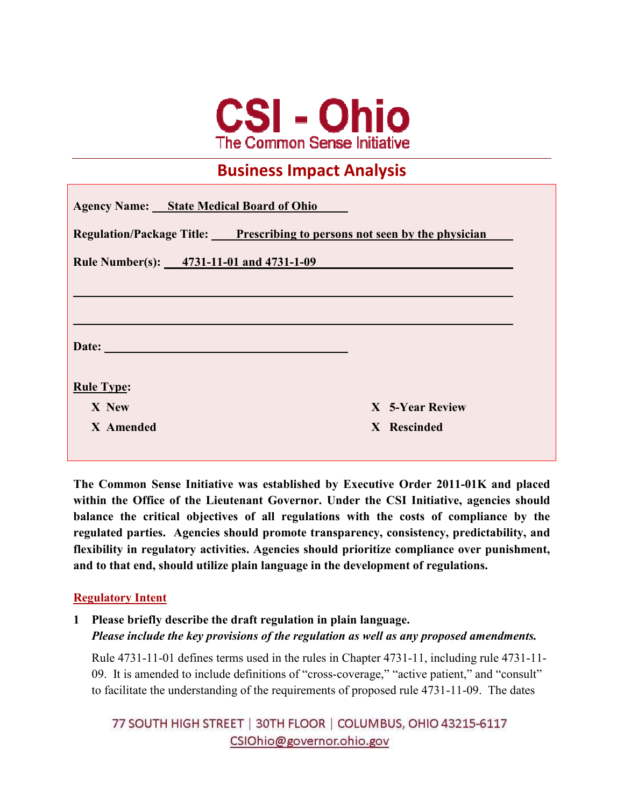

## **Business Impact Analysis**

| <b>Agency Name:</b> State Medical Board of Ohio<br>Regulation/Package Title: Prescribing to persons not seen by the physician |                 |
|-------------------------------------------------------------------------------------------------------------------------------|-----------------|
|                                                                                                                               |                 |
|                                                                                                                               |                 |
|                                                                                                                               |                 |
| Date:                                                                                                                         |                 |
| <b>Rule Type:</b>                                                                                                             |                 |
| X New                                                                                                                         | X 5-Year Review |
| X Amended                                                                                                                     | X Rescinded     |
|                                                                                                                               |                 |

**The Common Sense Initiative was established by Executive Order 2011-01K and placed within the Office of the Lieutenant Governor. Under the CSI Initiative, agencies should balance the critical objectives of all regulations with the costs of compliance by the regulated parties. Agencies should promote transparency, consistency, predictability, and flexibility in regulatory activities. Agencies should prioritize compliance over punishment, and to that end, should utilize plain language in the development of regulations.** 

#### **Regulatory Intent**

**1 Please briefly describe the draft regulation in plain language.**  *Please include the key provisions of the regulation as well as any proposed amendments.* 

Rule 4731-11-01 defines terms used in the rules in Chapter 4731-11, including rule 4731-11- 09. It is amended to include definitions of "cross-coverage," "active patient," and "consult" to facilitate the understanding of the requirements of proposed rule 4731-11-09. The dates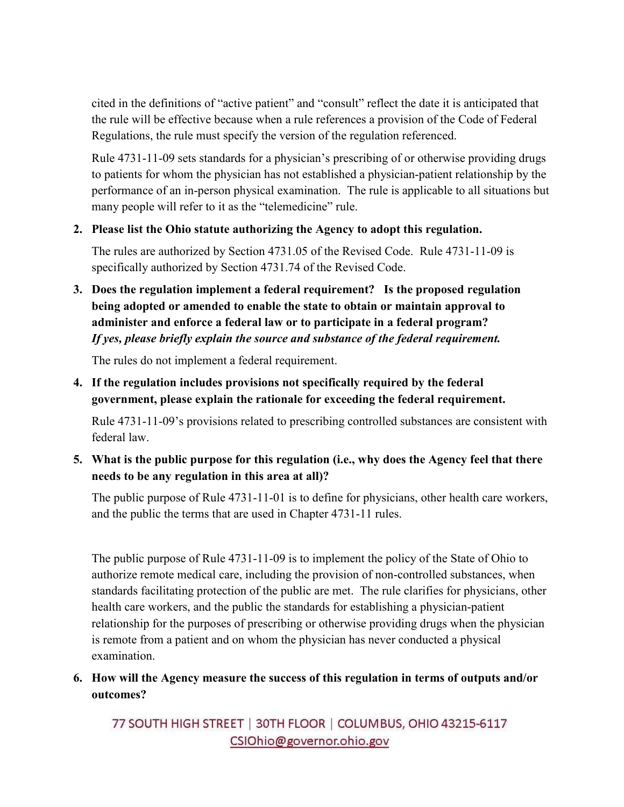cited in the definitions of "active patient" and "consult" reflect the date it is anticipated that the rule will be effective because when a rule references a provision of the Code of Federal Regulations, the rule must specify the version of the regulation referenced.

Rule 4731-11-09 sets standards for a physician's prescribing of or otherwise providing drugs to patients for whom the physician has not established a physician-patient relationship by the performance of an in-person physical examination. The rule is applicable to all situations but many people will refer to it as the "telemedicine" rule.

#### **2. Please list the Ohio statute authorizing the Agency to adopt this regulation.**

The rules are authorized by Section 4731.05 of the Revised Code. Rule 4731-11-09 is specifically authorized by Section 4731.74 of the Revised Code.

**3. Does the regulation implement a federal requirement? Is the proposed regulation being adopted or amended to enable the state to obtain or maintain approval to administer and enforce a federal law or to participate in a federal program?**  *If yes, please briefly explain the source and substance of the federal requirement.* 

The rules do not implement a federal requirement.

**4. If the regulation includes provisions not specifically required by the federal government, please explain the rationale for exceeding the federal requirement.** 

Rule 4731-11-09's provisions related to prescribing controlled substances are consistent with federal law.

**5. What is the public purpose for this regulation (i.e., why does the Agency feel that there needs to be any regulation in this area at all)?** 

The public purpose of Rule 4731-11-01 is to define for physicians, other health care workers, and the public the terms that are used in Chapter 4731-11 rules.

The public purpose of Rule 4731-11-09 is to implement the policy of the State of Ohio to authorize remote medical care, including the provision of non-controlled substances, when standards facilitating protection of the public are met. The rule clarifies for physicians, other health care workers, and the public the standards for establishing a physician-patient relationship for the purposes of prescribing or otherwise providing drugs when the physician is remote from a patient and on whom the physician has never conducted a physical examination.

**6. How will the Agency measure the success of this regulation in terms of outputs and/or outcomes?**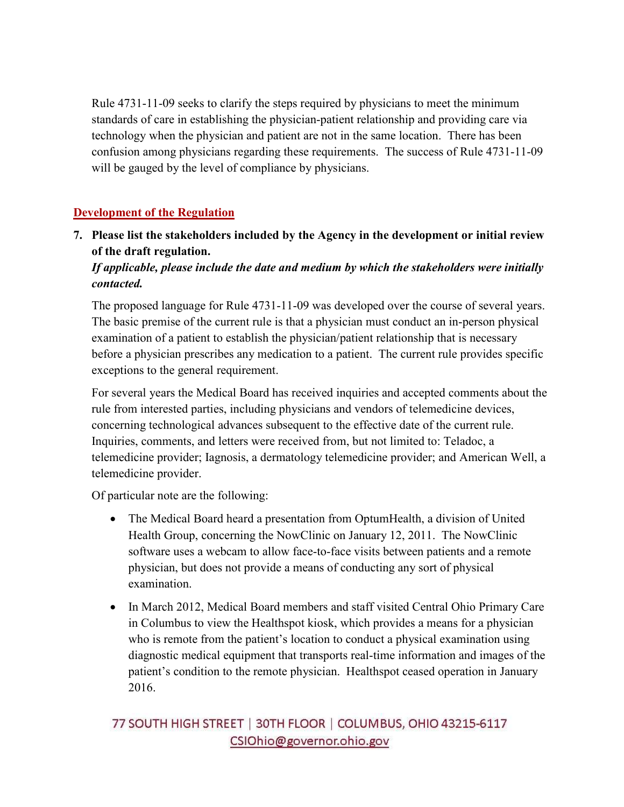Rule 4731-11-09 seeks to clarify the steps required by physicians to meet the minimum standards of care in establishing the physician-patient relationship and providing care via technology when the physician and patient are not in the same location. There has been confusion among physicians regarding these requirements. The success of Rule 4731-11-09 will be gauged by the level of compliance by physicians.

## **Development of the Regulation**

**7. Please list the stakeholders included by the Agency in the development or initial review of the draft regulation.** 

## *If applicable, please include the date and medium by which the stakeholders were initially contacted.*

The proposed language for Rule 4731-11-09 was developed over the course of several years. The basic premise of the current rule is that a physician must conduct an in-person physical examination of a patient to establish the physician/patient relationship that is necessary before a physician prescribes any medication to a patient. The current rule provides specific exceptions to the general requirement.

For several years the Medical Board has received inquiries and accepted comments about the rule from interested parties, including physicians and vendors of telemedicine devices, concerning technological advances subsequent to the effective date of the current rule. Inquiries, comments, and letters were received from, but not limited to: Teladoc, a telemedicine provider; Iagnosis, a dermatology telemedicine provider; and American Well, a telemedicine provider.

Of particular note are the following:

- The Medical Board heard a presentation from OptumHealth, a division of United Health Group, concerning the NowClinic on January 12, 2011. The NowClinic software uses a webcam to allow face-to-face visits between patients and a remote physician, but does not provide a means of conducting any sort of physical examination.
- In March 2012, Medical Board members and staff visited Central Ohio Primary Care in Columbus to view the Healthspot kiosk, which provides a means for a physician who is remote from the patient's location to conduct a physical examination using diagnostic medical equipment that transports real-time information and images of the patient's condition to the remote physician. Healthspot ceased operation in January 2016.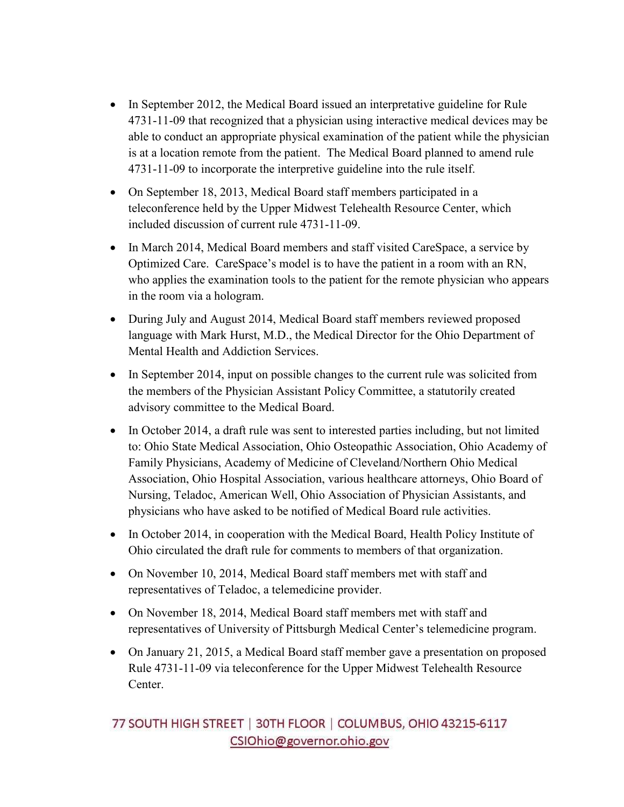- In September 2012, the Medical Board issued an interpretative guideline for Rule 4731-11-09 that recognized that a physician using interactive medical devices may be able to conduct an appropriate physical examination of the patient while the physician is at a location remote from the patient. The Medical Board planned to amend rule 4731-11-09 to incorporate the interpretive guideline into the rule itself.
- On September 18, 2013, Medical Board staff members participated in a teleconference held by the Upper Midwest Telehealth Resource Center, which included discussion of current rule 4731-11-09.
- In March 2014, Medical Board members and staff visited CareSpace, a service by Optimized Care. CareSpace's model is to have the patient in a room with an RN, who applies the examination tools to the patient for the remote physician who appears in the room via a hologram.
- During July and August 2014, Medical Board staff members reviewed proposed language with Mark Hurst, M.D., the Medical Director for the Ohio Department of Mental Health and Addiction Services.
- In September 2014, input on possible changes to the current rule was solicited from the members of the Physician Assistant Policy Committee, a statutorily created advisory committee to the Medical Board.
- In October 2014, a draft rule was sent to interested parties including, but not limited to: Ohio State Medical Association, Ohio Osteopathic Association, Ohio Academy of Family Physicians, Academy of Medicine of Cleveland/Northern Ohio Medical Association, Ohio Hospital Association, various healthcare attorneys, Ohio Board of Nursing, Teladoc, American Well, Ohio Association of Physician Assistants, and physicians who have asked to be notified of Medical Board rule activities.
- In October 2014, in cooperation with the Medical Board, Health Policy Institute of Ohio circulated the draft rule for comments to members of that organization.
- On November 10, 2014, Medical Board staff members met with staff and representatives of Teladoc, a telemedicine provider.
- On November 18, 2014, Medical Board staff members met with staff and representatives of University of Pittsburgh Medical Center's telemedicine program.
- On January 21, 2015, a Medical Board staff member gave a presentation on proposed Rule 4731-11-09 via teleconference for the Upper Midwest Telehealth Resource Center.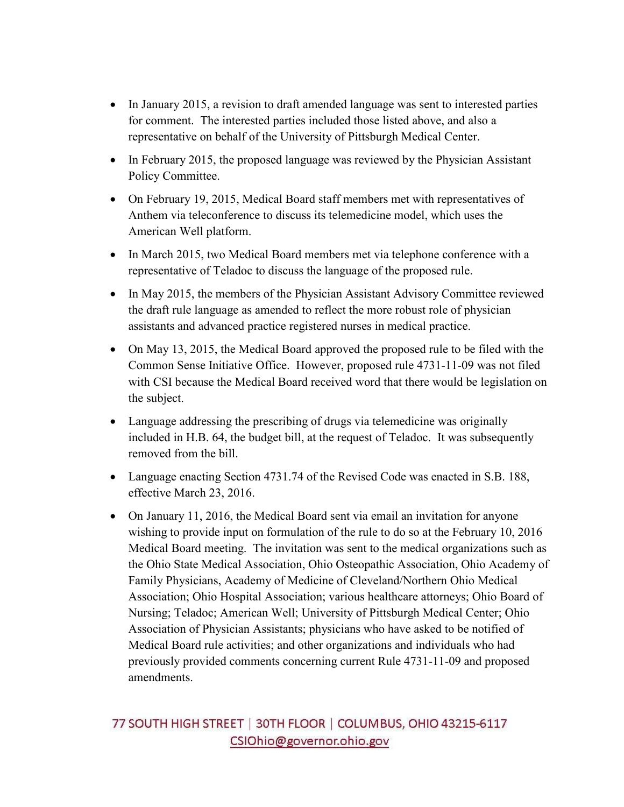- In January 2015, a revision to draft amended language was sent to interested parties for comment. The interested parties included those listed above, and also a representative on behalf of the University of Pittsburgh Medical Center.
- In February 2015, the proposed language was reviewed by the Physician Assistant Policy Committee.
- On February 19, 2015, Medical Board staff members met with representatives of Anthem via teleconference to discuss its telemedicine model, which uses the American Well platform.
- In March 2015, two Medical Board members met via telephone conference with a representative of Teladoc to discuss the language of the proposed rule.
- In May 2015, the members of the Physician Assistant Advisory Committee reviewed the draft rule language as amended to reflect the more robust role of physician assistants and advanced practice registered nurses in medical practice.
- On May 13, 2015, the Medical Board approved the proposed rule to be filed with the Common Sense Initiative Office. However, proposed rule 4731-11-09 was not filed with CSI because the Medical Board received word that there would be legislation on the subject.
- Language addressing the prescribing of drugs via telemedicine was originally included in H.B. 64, the budget bill, at the request of Teladoc. It was subsequently removed from the bill.
- Language enacting Section 4731.74 of the Revised Code was enacted in S.B. 188, effective March 23, 2016.
- On January 11, 2016, the Medical Board sent via email an invitation for anyone wishing to provide input on formulation of the rule to do so at the February 10, 2016 Medical Board meeting. The invitation was sent to the medical organizations such as the Ohio State Medical Association, Ohio Osteopathic Association, Ohio Academy of Family Physicians, Academy of Medicine of Cleveland/Northern Ohio Medical Association; Ohio Hospital Association; various healthcare attorneys; Ohio Board of Nursing; Teladoc; American Well; University of Pittsburgh Medical Center; Ohio Association of Physician Assistants; physicians who have asked to be notified of Medical Board rule activities; and other organizations and individuals who had previously provided comments concerning current Rule 4731-11-09 and proposed amendments.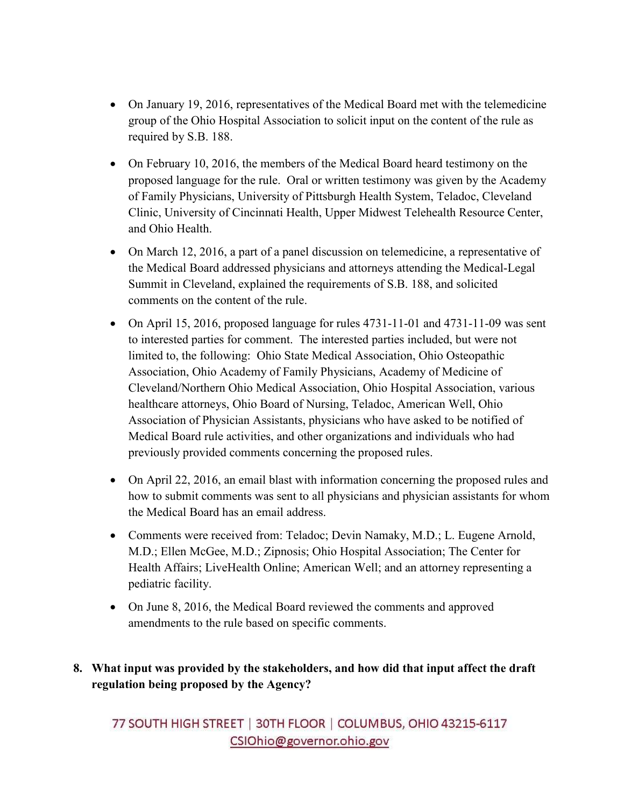- On January 19, 2016, representatives of the Medical Board met with the telemedicine group of the Ohio Hospital Association to solicit input on the content of the rule as required by S.B. 188.
- On February 10, 2016, the members of the Medical Board heard testimony on the proposed language for the rule. Oral or written testimony was given by the Academy of Family Physicians, University of Pittsburgh Health System, Teladoc, Cleveland Clinic, University of Cincinnati Health, Upper Midwest Telehealth Resource Center, and Ohio Health.
- On March 12, 2016, a part of a panel discussion on telemedicine, a representative of the Medical Board addressed physicians and attorneys attending the Medical-Legal Summit in Cleveland, explained the requirements of S.B. 188, and solicited comments on the content of the rule.
- On April 15, 2016, proposed language for rules 4731-11-01 and 4731-11-09 was sent to interested parties for comment. The interested parties included, but were not limited to, the following: Ohio State Medical Association, Ohio Osteopathic Association, Ohio Academy of Family Physicians, Academy of Medicine of Cleveland/Northern Ohio Medical Association, Ohio Hospital Association, various healthcare attorneys, Ohio Board of Nursing, Teladoc, American Well, Ohio Association of Physician Assistants, physicians who have asked to be notified of Medical Board rule activities, and other organizations and individuals who had previously provided comments concerning the proposed rules.
- On April 22, 2016, an email blast with information concerning the proposed rules and how to submit comments was sent to all physicians and physician assistants for whom the Medical Board has an email address.
- Comments were received from: Teladoc; Devin Namaky, M.D.; L. Eugene Arnold, M.D.; Ellen McGee, M.D.; Zipnosis; Ohio Hospital Association; The Center for Health Affairs; LiveHealth Online; American Well; and an attorney representing a pediatric facility.
- On June 8, 2016, the Medical Board reviewed the comments and approved amendments to the rule based on specific comments.

## **8. What input was provided by the stakeholders, and how did that input affect the draft regulation being proposed by the Agency?**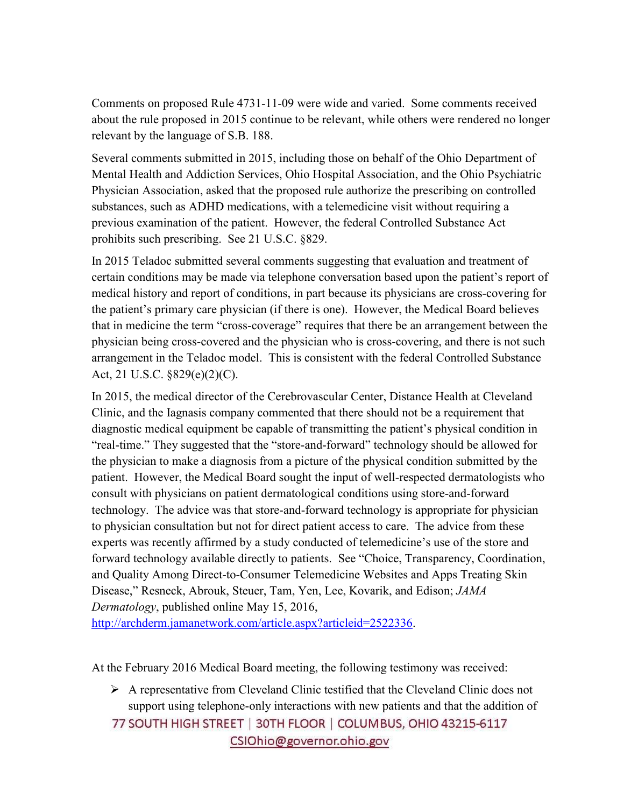Comments on proposed Rule 4731-11-09 were wide and varied. Some comments received about the rule proposed in 2015 continue to be relevant, while others were rendered no longer relevant by the language of S.B. 188.

Several comments submitted in 2015, including those on behalf of the Ohio Department of Mental Health and Addiction Services, Ohio Hospital Association, and the Ohio Psychiatric Physician Association, asked that the proposed rule authorize the prescribing on controlled substances, such as ADHD medications, with a telemedicine visit without requiring a previous examination of the patient. However, the federal Controlled Substance Act prohibits such prescribing. See 21 U.S.C. §829.

In 2015 Teladoc submitted several comments suggesting that evaluation and treatment of certain conditions may be made via telephone conversation based upon the patient's report of medical history and report of conditions, in part because its physicians are cross-covering for the patient's primary care physician (if there is one). However, the Medical Board believes that in medicine the term "cross-coverage" requires that there be an arrangement between the physician being cross-covered and the physician who is cross-covering, and there is not such arrangement in the Teladoc model. This is consistent with the federal Controlled Substance Act, 21 U.S.C. §829(e)(2)(C).

In 2015, the medical director of the Cerebrovascular Center, Distance Health at Cleveland Clinic, and the Iagnasis company commented that there should not be a requirement that diagnostic medical equipment be capable of transmitting the patient's physical condition in "real-time." They suggested that the "store-and-forward" technology should be allowed for the physician to make a diagnosis from a picture of the physical condition submitted by the patient. However, the Medical Board sought the input of well-respected dermatologists who consult with physicians on patient dermatological conditions using store-and-forward technology. The advice was that store-and-forward technology is appropriate for physician to physician consultation but not for direct patient access to care. The advice from these experts was recently affirmed by a study conducted of telemedicine's use of the store and forward technology available directly to patients. See "Choice, Transparency, Coordination, and Quality Among Direct-to-Consumer Telemedicine Websites and Apps Treating Skin Disease," Resneck, Abrouk, Steuer, Tam, Yen, Lee, Kovarik, and Edison; *JAMA Dermatology*, published online May 15, 2016,

http://archderm.jamanetwork.com/article.aspx?articleid=2522336.

At the February 2016 Medical Board meeting, the following testimony was received:

 $\triangleright$  A representative from Cleveland Clinic testified that the Cleveland Clinic does not support using telephone-only interactions with new patients and that the addition of 77 SOUTH HIGH STREET | 30TH FLOOR | COLUMBUS, OHIO 43215-6117 CSIOhio@governor.ohio.gov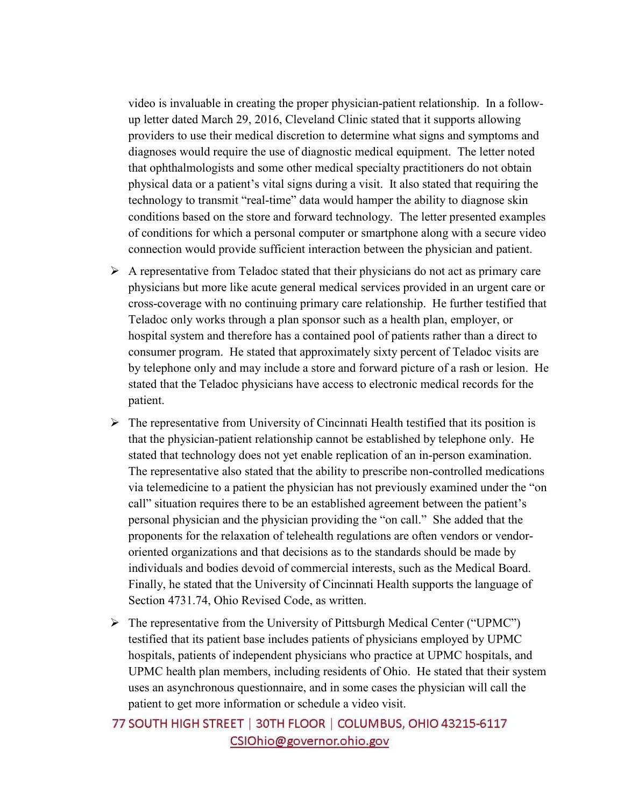video is invaluable in creating the proper physician-patient relationship. In a followup letter dated March 29, 2016, Cleveland Clinic stated that it supports allowing providers to use their medical discretion to determine what signs and symptoms and diagnoses would require the use of diagnostic medical equipment. The letter noted that ophthalmologists and some other medical specialty practitioners do not obtain physical data or a patient's vital signs during a visit. It also stated that requiring the technology to transmit "real-time" data would hamper the ability to diagnose skin conditions based on the store and forward technology. The letter presented examples of conditions for which a personal computer or smartphone along with a secure video connection would provide sufficient interaction between the physician and patient.

- $\triangleright$  A representative from Teladoc stated that their physicians do not act as primary care physicians but more like acute general medical services provided in an urgent care or cross-coverage with no continuing primary care relationship. He further testified that Teladoc only works through a plan sponsor such as a health plan, employer, or hospital system and therefore has a contained pool of patients rather than a direct to consumer program. He stated that approximately sixty percent of Teladoc visits are by telephone only and may include a store and forward picture of a rash or lesion. He stated that the Teladoc physicians have access to electronic medical records for the patient.
- $\triangleright$  The representative from University of Cincinnati Health testified that its position is that the physician-patient relationship cannot be established by telephone only. He stated that technology does not yet enable replication of an in-person examination. The representative also stated that the ability to prescribe non-controlled medications via telemedicine to a patient the physician has not previously examined under the "on call" situation requires there to be an established agreement between the patient's personal physician and the physician providing the "on call." She added that the proponents for the relaxation of telehealth regulations are often vendors or vendororiented organizations and that decisions as to the standards should be made by individuals and bodies devoid of commercial interests, such as the Medical Board. Finally, he stated that the University of Cincinnati Health supports the language of Section 4731.74, Ohio Revised Code, as written.
- $\triangleright$  The representative from the University of Pittsburgh Medical Center ("UPMC") testified that its patient base includes patients of physicians employed by UPMC hospitals, patients of independent physicians who practice at UPMC hospitals, and UPMC health plan members, including residents of Ohio. He stated that their system uses an asynchronous questionnaire, and in some cases the physician will call the patient to get more information or schedule a video visit.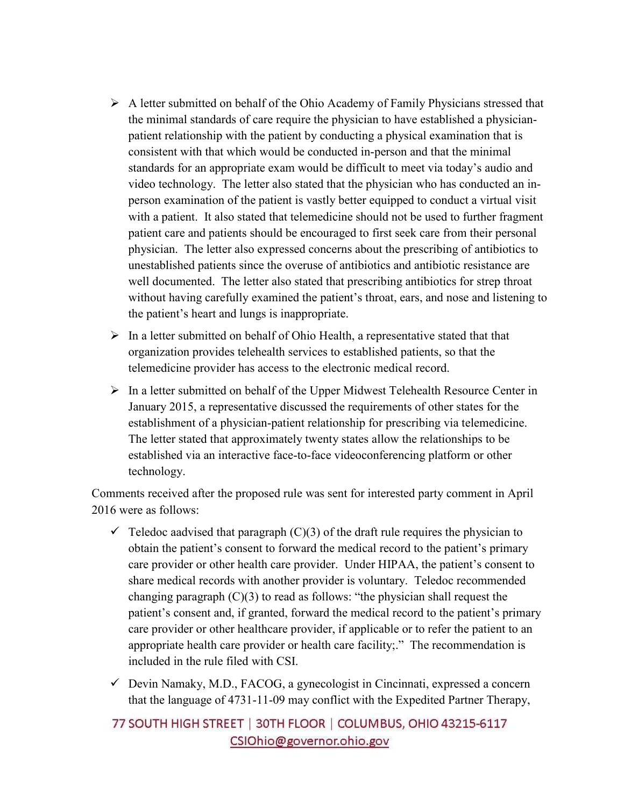- $\triangleright$  A letter submitted on behalf of the Ohio Academy of Family Physicians stressed that the minimal standards of care require the physician to have established a physicianpatient relationship with the patient by conducting a physical examination that is consistent with that which would be conducted in-person and that the minimal standards for an appropriate exam would be difficult to meet via today's audio and video technology. The letter also stated that the physician who has conducted an inperson examination of the patient is vastly better equipped to conduct a virtual visit with a patient. It also stated that telemedicine should not be used to further fragment patient care and patients should be encouraged to first seek care from their personal physician. The letter also expressed concerns about the prescribing of antibiotics to unestablished patients since the overuse of antibiotics and antibiotic resistance are well documented. The letter also stated that prescribing antibiotics for strep throat without having carefully examined the patient's throat, ears, and nose and listening to the patient's heart and lungs is inappropriate.
- $\triangleright$  In a letter submitted on behalf of Ohio Health, a representative stated that that organization provides telehealth services to established patients, so that the telemedicine provider has access to the electronic medical record.
- $\triangleright$  In a letter submitted on behalf of the Upper Midwest Telehealth Resource Center in January 2015, a representative discussed the requirements of other states for the establishment of a physician-patient relationship for prescribing via telemedicine. The letter stated that approximately twenty states allow the relationships to be established via an interactive face-to-face videoconferencing platform or other technology.

Comments received after the proposed rule was sent for interested party comment in April 2016 were as follows:

- $\checkmark$  Teledoc aadvised that paragraph (C)(3) of the draft rule requires the physician to obtain the patient's consent to forward the medical record to the patient's primary care provider or other health care provider. Under HIPAA, the patient's consent to share medical records with another provider is voluntary. Teledoc recommended changing paragraph (C)(3) to read as follows: "the physician shall request the patient's consent and, if granted, forward the medical record to the patient's primary care provider or other healthcare provider, if applicable or to refer the patient to an appropriate health care provider or health care facility;." The recommendation is included in the rule filed with CSI.
- Devin Namaky, M.D., FACOG, a gynecologist in Cincinnati, expressed a concern that the language of 4731-11-09 may conflict with the Expedited Partner Therapy,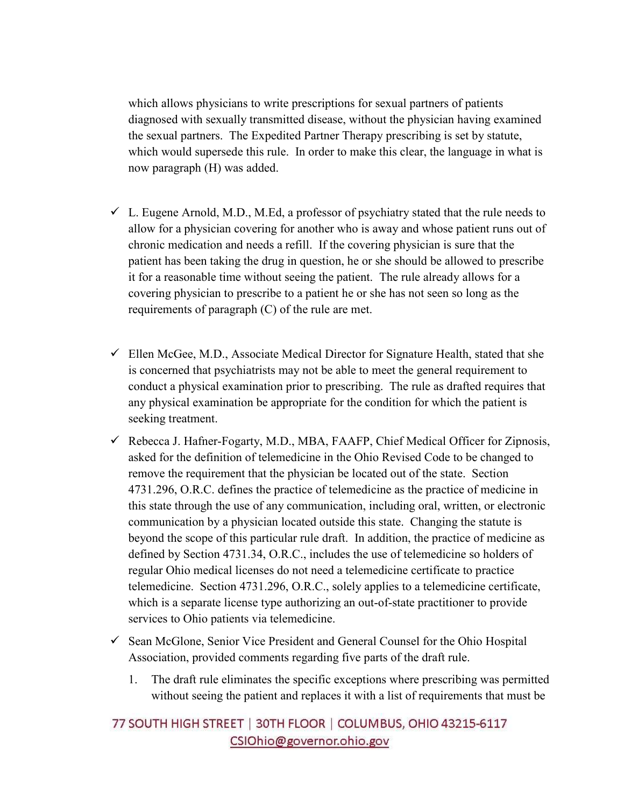which allows physicians to write prescriptions for sexual partners of patients diagnosed with sexually transmitted disease, without the physician having examined the sexual partners. The Expedited Partner Therapy prescribing is set by statute, which would supersede this rule. In order to make this clear, the language in what is now paragraph (H) was added.

- L. Eugene Arnold, M.D., M.Ed, a professor of psychiatry stated that the rule needs to allow for a physician covering for another who is away and whose patient runs out of chronic medication and needs a refill. If the covering physician is sure that the patient has been taking the drug in question, he or she should be allowed to prescribe it for a reasonable time without seeing the patient. The rule already allows for a covering physician to prescribe to a patient he or she has not seen so long as the requirements of paragraph (C) of the rule are met.
- Ellen McGee, M.D., Associate Medical Director for Signature Health, stated that she is concerned that psychiatrists may not be able to meet the general requirement to conduct a physical examination prior to prescribing. The rule as drafted requires that any physical examination be appropriate for the condition for which the patient is seeking treatment.
- Rebecca J. Hafner-Fogarty, M.D., MBA, FAAFP, Chief Medical Officer for Zipnosis, asked for the definition of telemedicine in the Ohio Revised Code to be changed to remove the requirement that the physician be located out of the state. Section 4731.296, O.R.C. defines the practice of telemedicine as the practice of medicine in this state through the use of any communication, including oral, written, or electronic communication by a physician located outside this state. Changing the statute is beyond the scope of this particular rule draft. In addition, the practice of medicine as defined by Section 4731.34, O.R.C., includes the use of telemedicine so holders of regular Ohio medical licenses do not need a telemedicine certificate to practice telemedicine. Section 4731.296, O.R.C., solely applies to a telemedicine certificate, which is a separate license type authorizing an out-of-state practitioner to provide services to Ohio patients via telemedicine.
- Sean McGlone, Senior Vice President and General Counsel for the Ohio Hospital Association, provided comments regarding five parts of the draft rule.
	- 1. The draft rule eliminates the specific exceptions where prescribing was permitted without seeing the patient and replaces it with a list of requirements that must be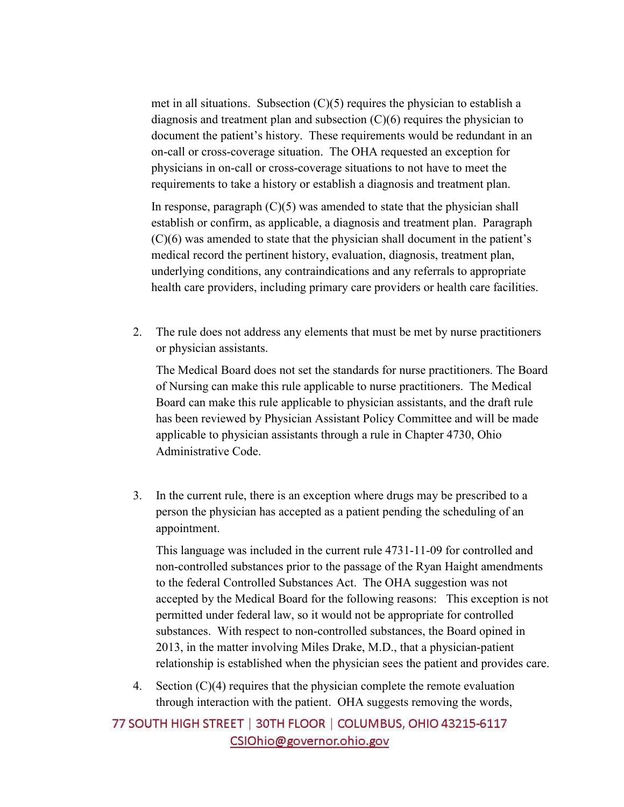met in all situations. Subsection  $(C)(5)$  requires the physician to establish a diagnosis and treatment plan and subsection  $(C)(6)$  requires the physician to document the patient's history. These requirements would be redundant in an on-call or cross-coverage situation. The OHA requested an exception for physicians in on-call or cross-coverage situations to not have to meet the requirements to take a history or establish a diagnosis and treatment plan.

In response, paragraph  $(C)(5)$  was amended to state that the physician shall establish or confirm, as applicable, a diagnosis and treatment plan. Paragraph (C)(6) was amended to state that the physician shall document in the patient's medical record the pertinent history, evaluation, diagnosis, treatment plan, underlying conditions, any contraindications and any referrals to appropriate health care providers, including primary care providers or health care facilities.

2. The rule does not address any elements that must be met by nurse practitioners or physician assistants.

The Medical Board does not set the standards for nurse practitioners. The Board of Nursing can make this rule applicable to nurse practitioners. The Medical Board can make this rule applicable to physician assistants, and the draft rule has been reviewed by Physician Assistant Policy Committee and will be made applicable to physician assistants through a rule in Chapter 4730, Ohio Administrative Code.

3. In the current rule, there is an exception where drugs may be prescribed to a person the physician has accepted as a patient pending the scheduling of an appointment.

This language was included in the current rule 4731-11-09 for controlled and non-controlled substances prior to the passage of the Ryan Haight amendments to the federal Controlled Substances Act. The OHA suggestion was not accepted by the Medical Board for the following reasons: This exception is not permitted under federal law, so it would not be appropriate for controlled substances. With respect to non-controlled substances, the Board opined in 2013, in the matter involving Miles Drake, M.D., that a physician-patient relationship is established when the physician sees the patient and provides care.

4. Section  $(C)(4)$  requires that the physician complete the remote evaluation through interaction with the patient. OHA suggests removing the words,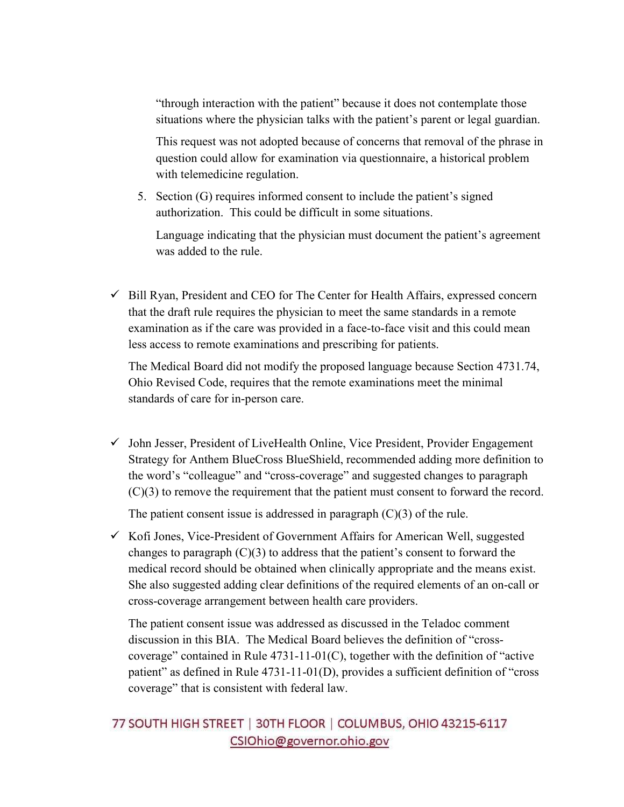"through interaction with the patient" because it does not contemplate those situations where the physician talks with the patient's parent or legal guardian.

This request was not adopted because of concerns that removal of the phrase in question could allow for examination via questionnaire, a historical problem with telemedicine regulation.

5. Section (G) requires informed consent to include the patient's signed authorization. This could be difficult in some situations.

Language indicating that the physician must document the patient's agreement was added to the rule.

- Bill Ryan, President and CEO for The Center for Health Affairs, expressed concern that the draft rule requires the physician to meet the same standards in a remote examination as if the care was provided in a face-to-face visit and this could mean less access to remote examinations and prescribing for patients.

The Medical Board did not modify the proposed language because Section 4731.74, Ohio Revised Code, requires that the remote examinations meet the minimal standards of care for in-person care.

- John Jesser, President of LiveHealth Online, Vice President, Provider Engagement Strategy for Anthem BlueCross BlueShield, recommended adding more definition to the word's "colleague" and "cross-coverage" and suggested changes to paragraph (C)(3) to remove the requirement that the patient must consent to forward the record.

The patient consent issue is addressed in paragraph  $(C)(3)$  of the rule.

- Kofi Jones, Vice-President of Government Affairs for American Well, suggested changes to paragraph  $(C)(3)$  to address that the patient's consent to forward the medical record should be obtained when clinically appropriate and the means exist. She also suggested adding clear definitions of the required elements of an on-call or cross-coverage arrangement between health care providers.

The patient consent issue was addressed as discussed in the Teladoc comment discussion in this BIA. The Medical Board believes the definition of "crosscoverage" contained in Rule 4731-11-01(C), together with the definition of "active patient" as defined in Rule 4731-11-01(D), provides a sufficient definition of "cross coverage" that is consistent with federal law.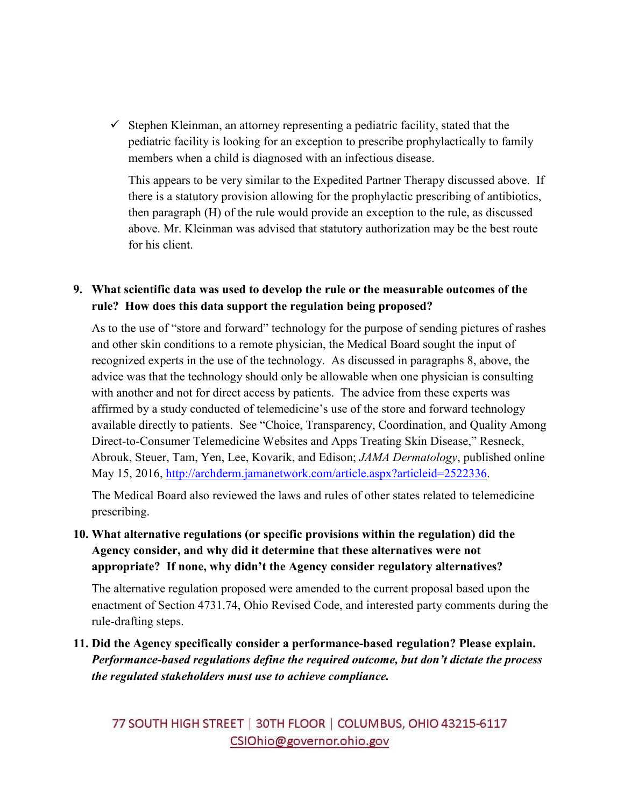- Stephen Kleinman, an attorney representing a pediatric facility, stated that the pediatric facility is looking for an exception to prescribe prophylactically to family members when a child is diagnosed with an infectious disease.

This appears to be very similar to the Expedited Partner Therapy discussed above. If there is a statutory provision allowing for the prophylactic prescribing of antibiotics, then paragraph (H) of the rule would provide an exception to the rule, as discussed above. Mr. Kleinman was advised that statutory authorization may be the best route for his client.

## **9. What scientific data was used to develop the rule or the measurable outcomes of the rule? How does this data support the regulation being proposed?**

As to the use of "store and forward" technology for the purpose of sending pictures of rashes and other skin conditions to a remote physician, the Medical Board sought the input of recognized experts in the use of the technology. As discussed in paragraphs 8, above, the advice was that the technology should only be allowable when one physician is consulting with another and not for direct access by patients. The advice from these experts was affirmed by a study conducted of telemedicine's use of the store and forward technology available directly to patients. See "Choice, Transparency, Coordination, and Quality Among Direct-to-Consumer Telemedicine Websites and Apps Treating Skin Disease," Resneck, Abrouk, Steuer, Tam, Yen, Lee, Kovarik, and Edison; *JAMA Dermatology*, published online May 15, 2016, http://archderm.jamanetwork.com/article.aspx?articleid=2522336.

The Medical Board also reviewed the laws and rules of other states related to telemedicine prescribing.

## **10. What alternative regulations (or specific provisions within the regulation) did the Agency consider, and why did it determine that these alternatives were not appropriate? If none, why didn't the Agency consider regulatory alternatives?**

The alternative regulation proposed were amended to the current proposal based upon the enactment of Section 4731.74, Ohio Revised Code, and interested party comments during the rule-drafting steps.

## **11. Did the Agency specifically consider a performance-based regulation? Please explain.**  *Performance-based regulations define the required outcome, but don't dictate the process the regulated stakeholders must use to achieve compliance.*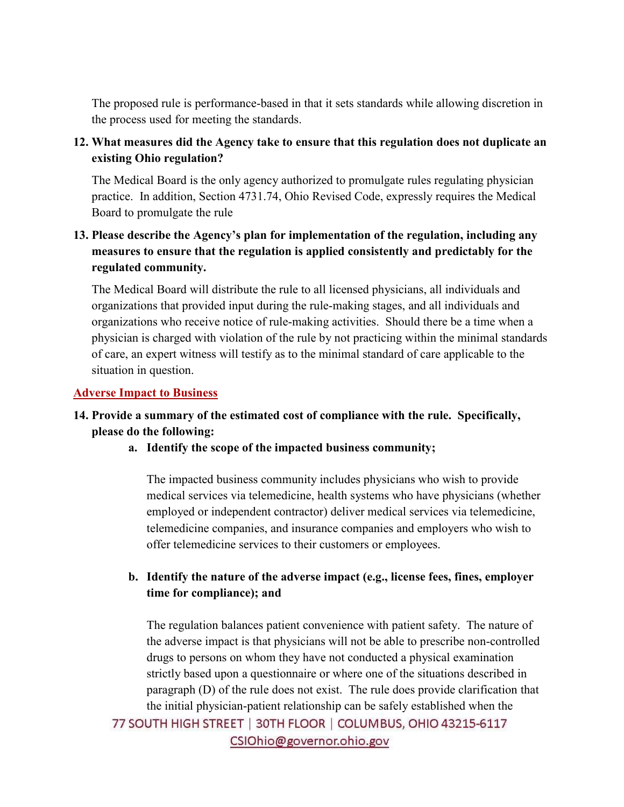The proposed rule is performance-based in that it sets standards while allowing discretion in the process used for meeting the standards.

**12. What measures did the Agency take to ensure that this regulation does not duplicate an existing Ohio regulation?** 

The Medical Board is the only agency authorized to promulgate rules regulating physician practice. In addition, Section 4731.74, Ohio Revised Code, expressly requires the Medical Board to promulgate the rule

**13. Please describe the Agency's plan for implementation of the regulation, including any measures to ensure that the regulation is applied consistently and predictably for the regulated community.** 

The Medical Board will distribute the rule to all licensed physicians, all individuals and organizations that provided input during the rule-making stages, and all individuals and organizations who receive notice of rule-making activities. Should there be a time when a physician is charged with violation of the rule by not practicing within the minimal standards of care, an expert witness will testify as to the minimal standard of care applicable to the situation in question.

#### **Adverse Impact to Business**

## **14. Provide a summary of the estimated cost of compliance with the rule. Specifically, please do the following:**

**a. Identify the scope of the impacted business community;** 

The impacted business community includes physicians who wish to provide medical services via telemedicine, health systems who have physicians (whether employed or independent contractor) deliver medical services via telemedicine, telemedicine companies, and insurance companies and employers who wish to offer telemedicine services to their customers or employees.

### **b. Identify the nature of the adverse impact (e.g., license fees, fines, employer time for compliance); and**

The regulation balances patient convenience with patient safety. The nature of the adverse impact is that physicians will not be able to prescribe non-controlled drugs to persons on whom they have not conducted a physical examination strictly based upon a questionnaire or where one of the situations described in paragraph (D) of the rule does not exist. The rule does provide clarification that the initial physician-patient relationship can be safely established when the 77 SOUTH HIGH STREET | 30TH FLOOR | COLUMBUS, OHIO 43215-6117 CSIOhio@governor.ohio.gov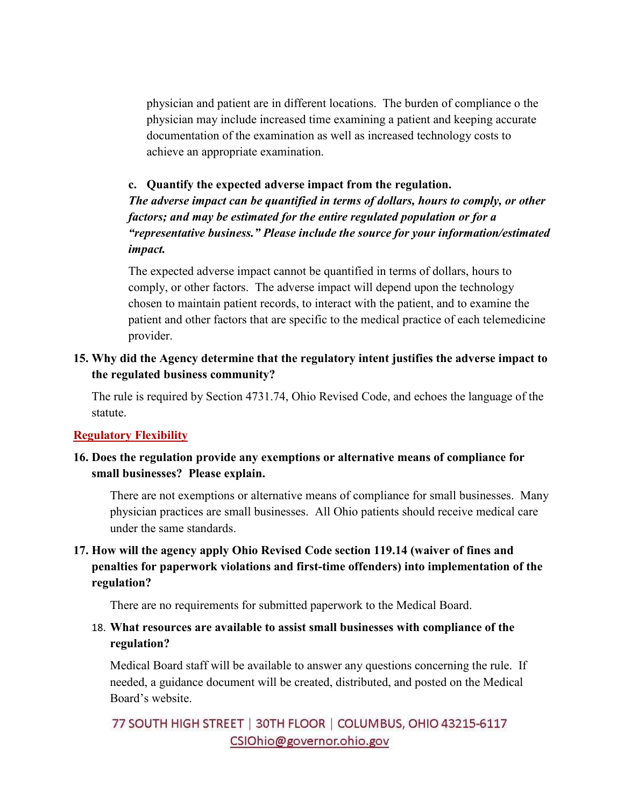physician and patient are in different locations. The burden of compliance o the physician may include increased time examining a patient and keeping accurate documentation of the examination as well as increased technology costs to achieve an appropriate examination.

## **c. Quantify the expected adverse impact from the regulation.**

*The adverse impact can be quantified in terms of dollars, hours to comply, or other factors; and may be estimated for the entire regulated population or for a "representative business." Please include the source for your information/estimated impact.* 

The expected adverse impact cannot be quantified in terms of dollars, hours to comply, or other factors. The adverse impact will depend upon the technology chosen to maintain patient records, to interact with the patient, and to examine the patient and other factors that are specific to the medical practice of each telemedicine provider.

### **15. Why did the Agency determine that the regulatory intent justifies the adverse impact to the regulated business community?**

The rule is required by Section 4731.74, Ohio Revised Code, and echoes the language of the statute.

#### **Regulatory Flexibility**

### **16. Does the regulation provide any exemptions or alternative means of compliance for small businesses? Please explain.**

There are not exemptions or alternative means of compliance for small businesses. Many physician practices are small businesses. All Ohio patients should receive medical care under the same standards.

## **17. How will the agency apply Ohio Revised Code section 119.14 (waiver of fines and penalties for paperwork violations and first-time offenders) into implementation of the regulation?**

There are no requirements for submitted paperwork to the Medical Board.

## 18. **What resources are available to assist small businesses with compliance of the regulation?**

Medical Board staff will be available to answer any questions concerning the rule. If needed, a guidance document will be created, distributed, and posted on the Medical Board's website.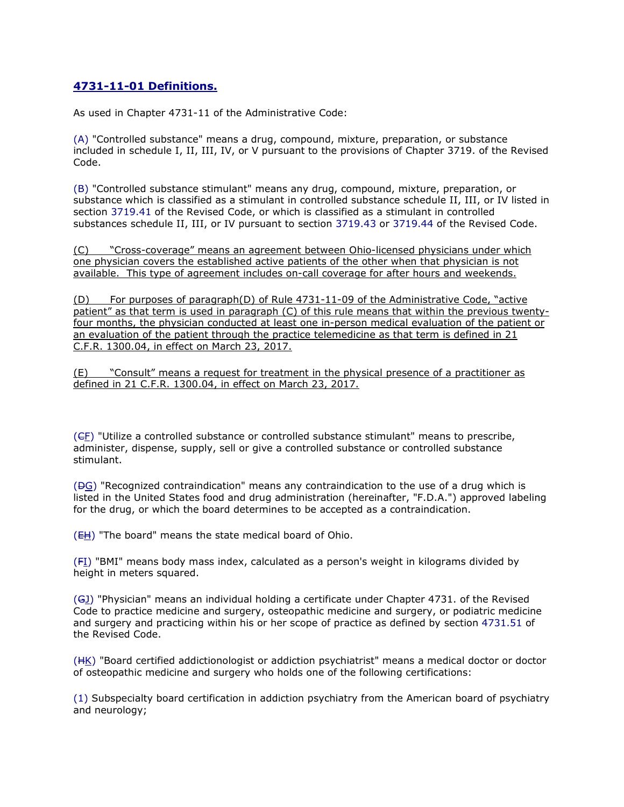## **4731-11-01 Definitions.**

As used in Chapter 4731-11 of the Administrative Code:

(A) "Controlled substance" means a drug, compound, mixture, preparation, or substance included in schedule I, II, III, IV, or V pursuant to the provisions of Chapter 3719. of the Revised Code.

(B) "Controlled substance stimulant" means any drug, compound, mixture, preparation, or substance which is classified as a stimulant in controlled substance schedule II, III, or IV listed in section 3719.41 of the Revised Code, or which is classified as a stimulant in controlled substances schedule II, III, or IV pursuant to section 3719.43 or 3719.44 of the Revised Code.

(C) "Cross-coverage" means an agreement between Ohio-licensed physicians under which one physician covers the established active patients of the other when that physician is not available. This type of agreement includes on-call coverage for after hours and weekends.

(D) For purposes of paragraph(D) of Rule 4731-11-09 of the Administrative Code, "active patient" as that term is used in paragraph (C) of this rule means that within the previous twentyfour months, the physician conducted at least one in-person medical evaluation of the patient or an evaluation of the patient through the practice telemedicine as that term is defined in 21 C.F.R. 1300.04, in effect on March 23, 2017.

(E) "Consult" means a request for treatment in the physical presence of a practitioner as defined in 21 C.F.R. 1300.04, in effect on March 23, 2017.

 $(GE)$  "Utilize a controlled substance or controlled substance stimulant" means to prescribe, administer, dispense, supply, sell or give a controlled substance or controlled substance stimulant.

 $(\Theta G)$  "Recognized contraindication" means any contraindication to the use of a drug which is listed in the United States food and drug administration (hereinafter, "F.D.A.") approved labeling for the drug, or which the board determines to be accepted as a contraindication.

(EH) "The board" means the state medical board of Ohio.

(FI) "BMI" means body mass index, calculated as a person's weight in kilograms divided by height in meters squared.

(GJ) "Physician" means an individual holding a certificate under Chapter 4731. of the Revised Code to practice medicine and surgery, osteopathic medicine and surgery, or podiatric medicine and surgery and practicing within his or her scope of practice as defined by section 4731.51 of the Revised Code.

(HK) "Board certified addictionologist or addiction psychiatrist" means a medical doctor or doctor of osteopathic medicine and surgery who holds one of the following certifications:

(1) Subspecialty board certification in addiction psychiatry from the American board of psychiatry and neurology;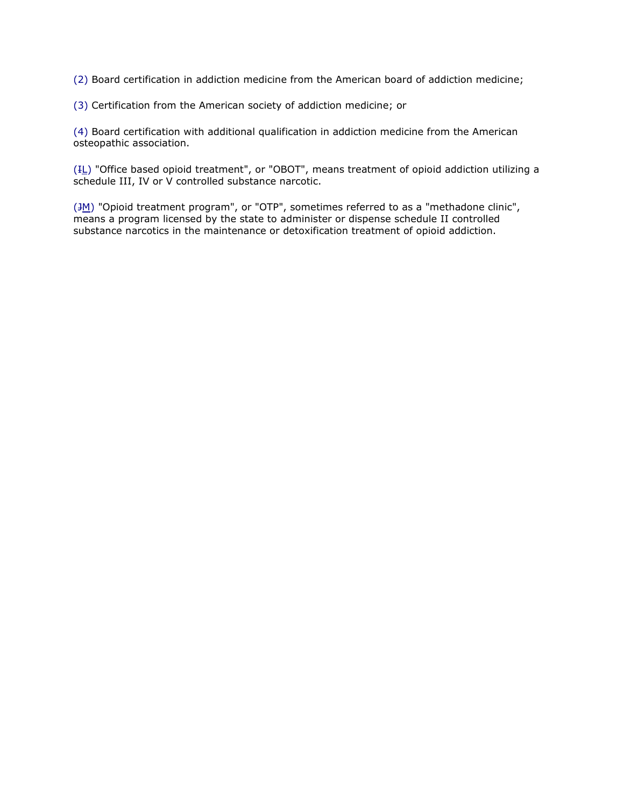(2) Board certification in addiction medicine from the American board of addiction medicine;

(3) Certification from the American society of addiction medicine; or

(4) Board certification with additional qualification in addiction medicine from the American osteopathic association.

 $(H_$ ) "Office based opioid treatment", or "OBOT", means treatment of opioid addiction utilizing a schedule III, IV or V controlled substance narcotic.

 $(\frac{3M}{M})$  "Opioid treatment program", or "OTP", sometimes referred to as a "methadone clinic", means a program licensed by the state to administer or dispense schedule II controlled substance narcotics in the maintenance or detoxification treatment of opioid addiction.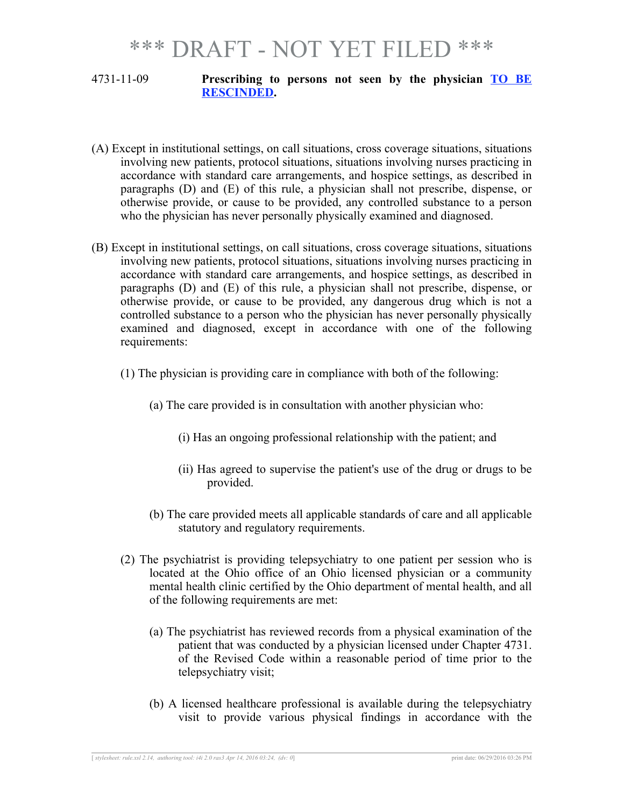#### 4731-11-09 **Prescribing to persons not seen by the physician TO BE RESCINDED.**

- (A) Except in institutional settings, on call situations, cross coverage situations, situations involving new patients, protocol situations, situations involving nurses practicing in accordance with standard care arrangements, and hospice settings, as described in paragraphs (D) and (E) of this rule, a physician shall not prescribe, dispense, or otherwise provide, or cause to be provided, any controlled substance to a person who the physician has never personally physically examined and diagnosed.
- (B) Except in institutional settings, on call situations, cross coverage situations, situations involving new patients, protocol situations, situations involving nurses practicing in accordance with standard care arrangements, and hospice settings, as described in paragraphs (D) and (E) of this rule, a physician shall not prescribe, dispense, or otherwise provide, or cause to be provided, any dangerous drug which is not a controlled substance to a person who the physician has never personally physically examined and diagnosed, except in accordance with one of the following requirements:
	- (1) The physician is providing care in compliance with both of the following:
		- (a) The care provided is in consultation with another physician who:
			- (i) Has an ongoing professional relationship with the patient; and
			- (ii) Has agreed to supervise the patient's use of the drug or drugs to be provided.
		- (b) The care provided meets all applicable standards of care and all applicable statutory and regulatory requirements.
	- (2) The psychiatrist is providing telepsychiatry to one patient per session who is located at the Ohio office of an Ohio licensed physician or a community mental health clinic certified by the Ohio department of mental health, and all of the following requirements are met:
		- (a) The psychiatrist has reviewed records from a physical examination of the patient that was conducted by a physician licensed under Chapter 4731. of the Revised Code within a reasonable period of time prior to the telepsychiatry visit;
		- (b) A licensed healthcare professional is available during the telepsychiatry visit to provide various physical findings in accordance with the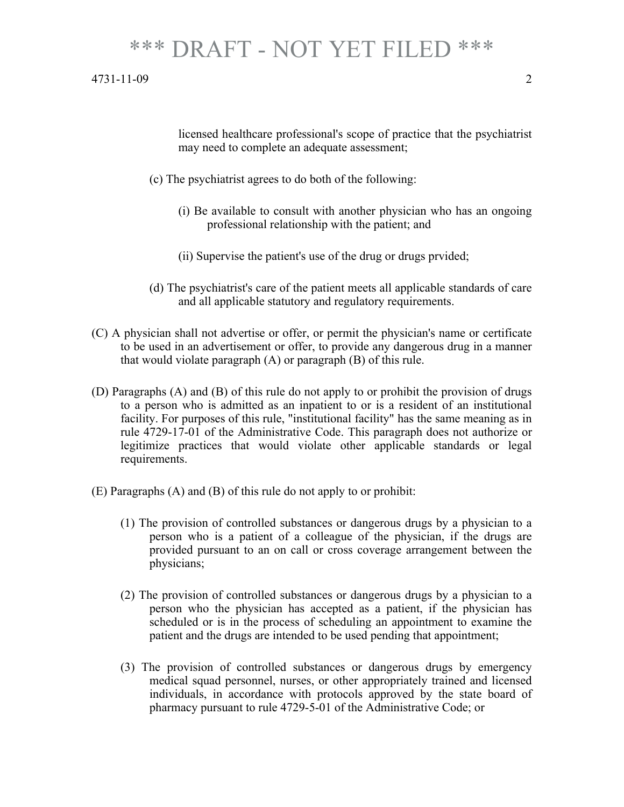#### 4731-11-09 2

licensed healthcare professional's scope of practice that the psychiatrist may need to complete an adequate assessment;

- (c) The psychiatrist agrees to do both of the following:
	- (i) Be available to consult with another physician who has an ongoing professional relationship with the patient; and
	- (ii) Supervise the patient's use of the drug or drugs prvided;
- (d) The psychiatrist's care of the patient meets all applicable standards of care and all applicable statutory and regulatory requirements.
- (C) A physician shall not advertise or offer, or permit the physician's name or certificate to be used in an advertisement or offer, to provide any dangerous drug in a manner that would violate paragraph (A) or paragraph (B) of this rule.
- (D) Paragraphs (A) and (B) of this rule do not apply to or prohibit the provision of drugs to a person who is admitted as an inpatient to or is a resident of an institutional facility. For purposes of this rule, "institutional facility" has the same meaning as in rule 4729-17-01 of the Administrative Code. This paragraph does not authorize or legitimize practices that would violate other applicable standards or legal requirements.
- (E) Paragraphs (A) and (B) of this rule do not apply to or prohibit:
	- (1) The provision of controlled substances or dangerous drugs by a physician to a person who is a patient of a colleague of the physician, if the drugs are provided pursuant to an on call or cross coverage arrangement between the physicians;
	- (2) The provision of controlled substances or dangerous drugs by a physician to a person who the physician has accepted as a patient, if the physician has scheduled or is in the process of scheduling an appointment to examine the patient and the drugs are intended to be used pending that appointment;
	- (3) The provision of controlled substances or dangerous drugs by emergency medical squad personnel, nurses, or other appropriately trained and licensed individuals, in accordance with protocols approved by the state board of pharmacy pursuant to rule 4729-5-01 of the Administrative Code; or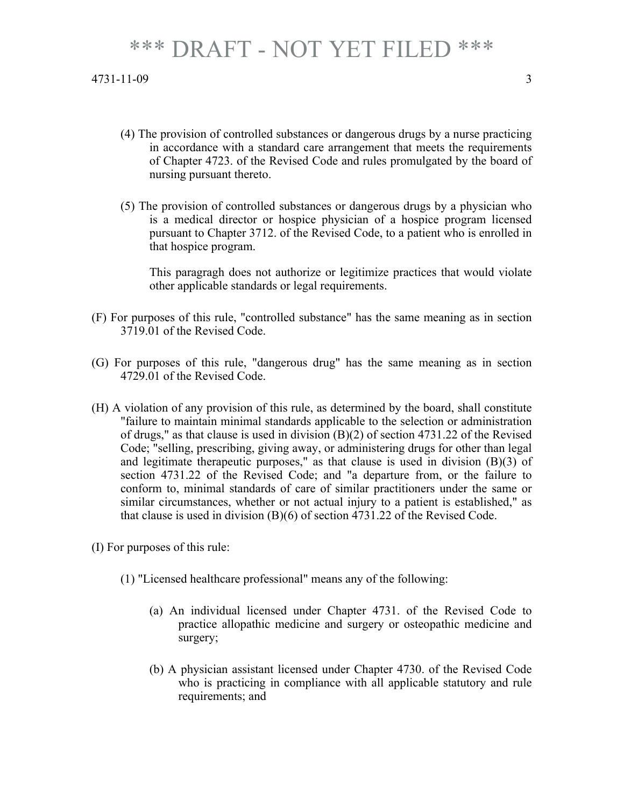- (4) The provision of controlled substances or dangerous drugs by a nurse practicing in accordance with a standard care arrangement that meets the requirements of Chapter 4723. of the Revised Code and rules promulgated by the board of nursing pursuant thereto.
- (5) The provision of controlled substances or dangerous drugs by a physician who is a medical director or hospice physician of a hospice program licensed pursuant to Chapter 3712. of the Revised Code, to a patient who is enrolled in that hospice program.

This paragragh does not authorize or legitimize practices that would violate other applicable standards or legal requirements.

- (F) For purposes of this rule, "controlled substance" has the same meaning as in section 3719.01 of the Revised Code.
- (G) For purposes of this rule, "dangerous drug" has the same meaning as in section 4729.01 of the Revised Code.
- (H) A violation of any provision of this rule, as determined by the board, shall constitute "failure to maintain minimal standards applicable to the selection or administration of drugs," as that clause is used in division  $(B)(2)$  of section 4731.22 of the Revised Code; "selling, prescribing, giving away, or administering drugs for other than legal and legitimate therapeutic purposes," as that clause is used in division (B)(3) of section 4731.22 of the Revised Code; and "a departure from, or the failure to conform to, minimal standards of care of similar practitioners under the same or similar circumstances, whether or not actual injury to a patient is established," as that clause is used in division (B)(6) of section 4731.22 of the Revised Code.
- (I) For purposes of this rule:
	- (1) "Licensed healthcare professional" means any of the following:
		- (a) An individual licensed under Chapter 4731. of the Revised Code to practice allopathic medicine and surgery or osteopathic medicine and surgery;
		- (b) A physician assistant licensed under Chapter 4730. of the Revised Code who is practicing in compliance with all applicable statutory and rule requirements; and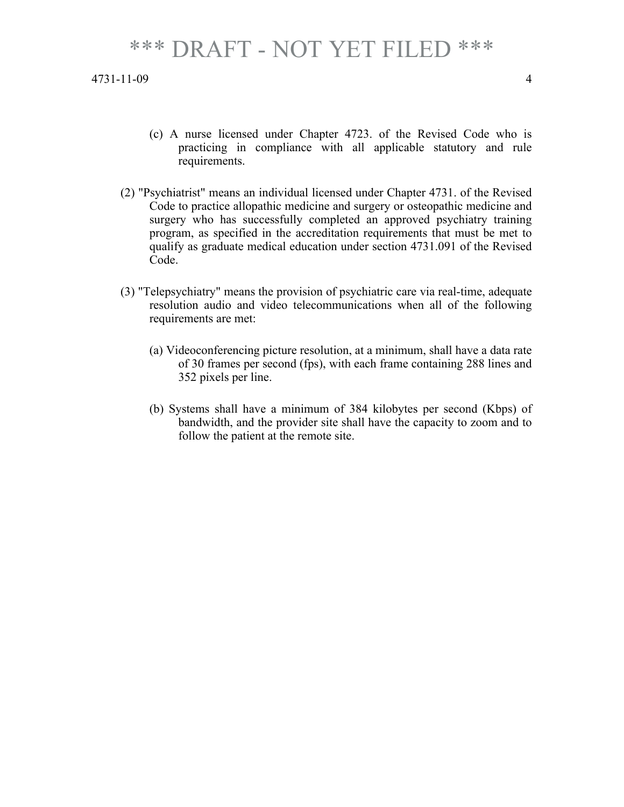- (c) A nurse licensed under Chapter 4723. of the Revised Code who is practicing in compliance with all applicable statutory and rule requirements.
- (2) "Psychiatrist" means an individual licensed under Chapter 4731. of the Revised Code to practice allopathic medicine and surgery or osteopathic medicine and surgery who has successfully completed an approved psychiatry training program, as specified in the accreditation requirements that must be met to qualify as graduate medical education under section 4731.091 of the Revised Code.
- (3) "Telepsychiatry" means the provision of psychiatric care via real-time, adequate resolution audio and video telecommunications when all of the following requirements are met:
	- (a) Videoconferencing picture resolution, at a minimum, shall have a data rate of 30 frames per second (fps), with each frame containing 288 lines and 352 pixels per line.
	- (b) Systems shall have a minimum of 384 kilobytes per second (Kbps) of bandwidth, and the provider site shall have the capacity to zoom and to follow the patient at the remote site.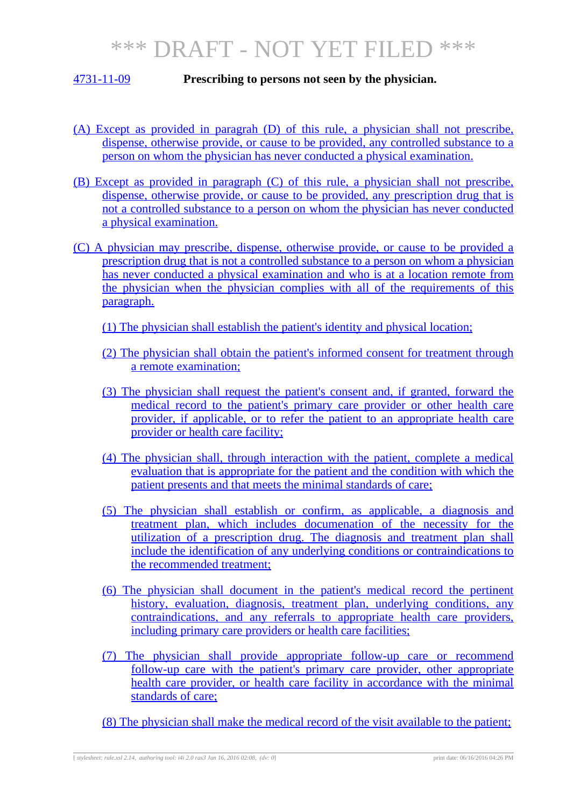#### 4731-11-09 **Prescribing to persons not seen by the physician.**

- (A) Except as provided in paragrah (D) of this rule, a physician shall not prescribe, dispense, otherwise provide, or cause to be provided, any controlled substance to a person on whom the physician has never conducted a physical examination.
- (B) Except as provided in paragraph (C) of this rule, a physician shall not prescribe, dispense, otherwise provide, or cause to be provided, any prescription drug that is not a controlled substance to a person on whom the physician has never conducted a physical examination.
- (C) A physician may prescribe, dispense, otherwise provide, or cause to be provided a prescription drug that is not a controlled substance to a person on whom a physician has never conducted a physical examination and who is at a location remote from the physician when the physician complies with all of the requirements of this paragraph.
	- (1) The physician shall establish the patient's identity and physical location;
	- (2) The physician shall obtain the patient's informed consent for treatment through a remote examination;
	- (3) The physician shall request the patient's consent and, if granted, forward the medical record to the patient's primary care provider or other health care provider, if applicable, or to refer the patient to an appropriate health care provider or health care facility;
	- (4) The physician shall, through interaction with the patient, complete a medical evaluation that is appropriate for the patient and the condition with which the patient presents and that meets the minimal standards of care;
	- (5) The physician shall establish or confirm, as applicable, a diagnosis and treatment plan, which includes documenation of the necessity for the utilization of a prescription drug. The diagnosis and treatment plan shall include the identification of any underlying conditions or contraindications to the recommended treatment;
	- (6) The physician shall document in the patient's medical record the pertinent history, evaluation, diagnosis, treatment plan, underlying conditions, any contraindications, and any referrals to appropriate health care providers, including primary care providers or health care facilities;
	- (7) The physician shall provide appropriate follow-up care or recommend follow-up care with the patient's primary care provider, other appropriate health care provider, or health care facility in accordance with the minimal standards of care;
	- (8) The physician shall make the medical record of the visit available to the patient;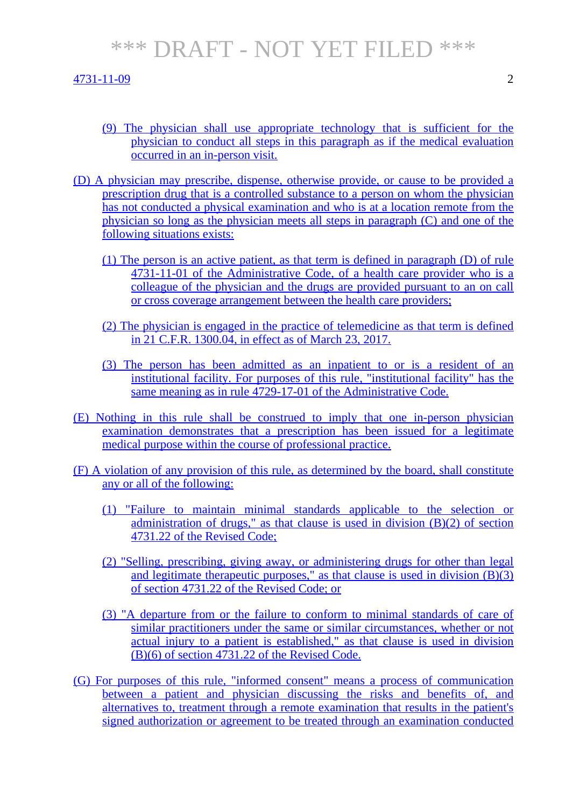4731-11-09 2

- (9) The physician shall use appropriate technology that is sufficient for the physician to conduct all steps in this paragraph as if the medical evaluation occurred in an in-person visit.
- (D) A physician may prescribe, dispense, otherwise provide, or cause to be provided a prescription drug that is a controlled substance to a person on whom the physician has not conducted a physical examination and who is at a location remote from the physician so long as the physician meets all steps in paragraph (C) and one of the following situations exists:
	- (1) The person is an active patient, as that term is defined in paragraph (D) of rule 4731-11-01 of the Administrative Code, of a health care provider who is a colleague of the physician and the drugs are provided pursuant to an on call or cross coverage arrangement between the health care providers;
	- (2) The physician is engaged in the practice of telemedicine as that term is defined in 21 C.F.R. 1300.04, in effect as of March 23, 2017.
	- (3) The person has been admitted as an inpatient to or is a resident of an institutional facility. For purposes of this rule, "institutional facility" has the same meaning as in rule 4729-17-01 of the Administrative Code.
- (E) Nothing in this rule shall be construed to imply that one in-person physician examination demonstrates that a prescription has been issued for a legitimate medical purpose within the course of professional practice.
- (F) A violation of any provision of this rule, as determined by the board, shall constitute any or all of the following:
	- (1) "Failure to maintain minimal standards applicable to the selection or administration of drugs," as that clause is used in division (B)(2) of section 4731.22 of the Revised Code;
	- (2) "Selling, prescribing, giving away, or administering drugs for other than legal and legitimate therapeutic purposes," as that clause is used in division  $(B)(3)$ of section 4731.22 of the Revised Code; or
	- (3) "A departure from or the failure to conform to minimal standards of care of similar practitioners under the same or similar circumstances, whether or not actual injury to a patient is established," as that clause is used in division (B)(6) of section 4731.22 of the Revised Code.
- (G) For purposes of this rule, "informed consent" means a process of communication between a patient and physician discussing the risks and benefits of, and alternatives to, treatment through a remote examination that results in the patient's signed authorization or agreement to be treated through an examination conducted